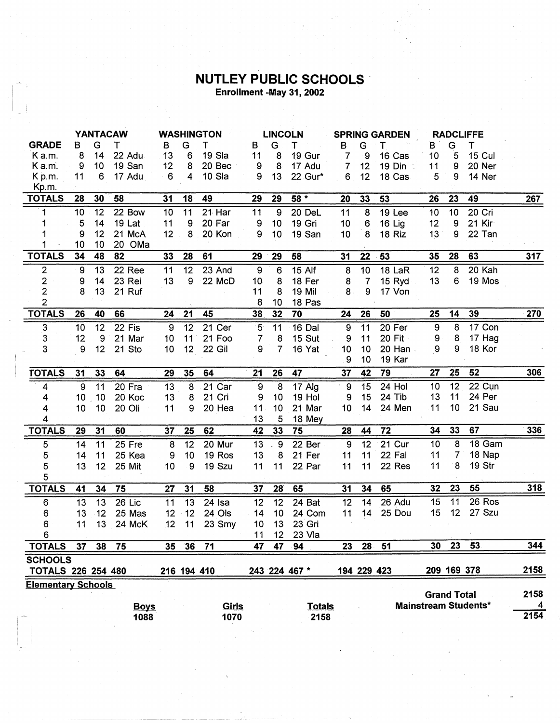## **NUTLEY PUBLIC SCHOOLS**<br>Enrollment -May 31, 2002

|                           | <b>YANTACAW</b> |     |             | <b>WASHINGTON</b> |                 | <b>LINCOLN</b>      |                  | <b>SPRING GARDEN</b> |               |                 | <b>RADCLIFFE</b> |               |                    |    |                             |            |
|---------------------------|-----------------|-----|-------------|-------------------|-----------------|---------------------|------------------|----------------------|---------------|-----------------|------------------|---------------|--------------------|----|-----------------------------|------------|
| <b>GRADE</b>              | в               | G   | т           | В                 | G               | т                   | в                | G                    | т             | B               | G                | т             | В                  | G  | т                           |            |
| K a.m.                    | 8               | 14  | 22 Adu      | 13                | 6               | 19 Sla              | 11               | 8                    | 19 Gur        | $\overline{7}$  | 9                | 16 Cas        | 10                 | 5  | 15 Cul                      |            |
| K a.m.                    | 9               | 10  | 19 San      | 12                | 8               | 20 Bec              | 9                | 8                    | 17 Adu        | $\overline{7}$  | 12               | $19$ Din :    | 11                 | 9  | 20 Ner                      |            |
| $K$ p.m.                  | 11              | 6   | 17 Adu      | 6                 | $\overline{4}$  | $10$ . Sla          | 9                | 13                   | 22 Gur*       | 6               | 12               | 18 Cas        | 5                  | 9  | 14 Ner                      |            |
| Kp.m.                     |                 |     |             |                   |                 |                     |                  |                      |               |                 |                  |               |                    |    |                             |            |
| <b>TOTALS</b>             | 28              | 30  | 58          | 31                | 18              | 49                  | 29               | 29                   | 58 *          | 20              | 33               | 53            | 26                 | 23 | 49                          | 267        |
| 1                         | 10              | 12  | 22 Bow      | 10                | $\overline{11}$ | $21$ Har            | 11               | 9                    | 20 DeL        | 11              | $\overline{8}$   | 19 Lee        | 10                 | 10 | $20$ Cri                    |            |
| 1                         | 5               | 14  | 19 Lat      | 11                | 9               | 20 Far              | $\boldsymbol{9}$ | 10                   | 19 Gri        | 10              | 6                | 16 Lig        | 12                 | 9  | 21 Kir                      |            |
|                           | 9               | 12  | 21 McA      | 12                | 8               | 20 Kon              | 9                | 10                   | 19 San        | 10              | 8                | 18 Riz        | 13                 | 9  | 22 Tan                      |            |
|                           | 10              | 10  | 20 OMa      |                   |                 |                     |                  |                      |               |                 |                  |               |                    |    |                             |            |
| <b>TOTALS</b>             | 34              | 48  | 82          | 33                | 28              | 61                  | 29               | 29                   | 58            | 31              | 22               | 53            | 35                 | 28 | 63                          | 317        |
| $\overline{c}$            | 9               | 13  | 22 Ree      | 11                | 12              | 23 And              | 9                | 6                    | <b>15 Alf</b> | 8               | 10               | 18 LaR        | 12                 | 8  | 20 Kah                      |            |
| $\overline{\mathbf{c}}$   | 9               | 14  | 23 Rei      | 13                | 9               | 22 McD              | 10               | 8                    | 18 Fer        | 8               | $\overline{7}$   | 15 Ryd        | 13                 | 6  | 19 Mos                      |            |
| $\overline{2}$            | 8               | 13  | 21 Ruf      |                   |                 |                     | 11               | 8                    | 19 Mil        | 8               | 9                | 17 Von        |                    |    |                             |            |
| $\overline{2}$            |                 |     |             |                   |                 |                     | 8                | 10                   | 18 Pas        |                 |                  |               |                    |    |                             |            |
| <b>TOTALS</b>             | 26              | 40  | 66          | 24                | 21              | 45                  | 38               | 32                   | 70            | 24              | 26               | 50            | 25                 | 14 | 39                          | 270        |
| 3                         | 10              | 12  | 22 Fis      | $\mathbf{9}$      | 12 <sup>2</sup> | 21 Cer              | $5 -$            | 11                   | 16 Dal        | 9               | 11               | 20 Fer        | $\boldsymbol{9}$   | 8  | 17 Con                      |            |
| 3                         | 12              | 9   | 21 Mar      | 10                | 11              | 21 Foo              | 7                | 8                    | 15 Sut        | 9               | 11               | <b>20 Fit</b> | 9                  | 8  | 17 Hag                      |            |
| 3                         | 9               | 12  | 21 Sto      | 10                | 12 <sub>2</sub> | 22 Gil              | 9                | 7                    | 16 Yat        | 10              | 10               | 20 Han        | 9                  | 9  | 18 Kor                      |            |
|                           |                 |     |             |                   |                 |                     |                  |                      |               | 9               | 10               | 19 Kar        |                    |    |                             |            |
| <b>TOTALS</b>             | 31              | 33  | 64          | 29                | 35              | 64                  | 21               | 26                   | 47            | 37              | 42               | 79            | 27                 | 25 | 52                          | <u>306</u> |
| 4                         | 9               | 11  | 20 Fra      | $\overline{13}$   | 8               | $21$ Car            | $\overline{9}$   | $\overline{8}$       | $17$ Alg      | 9               | 15               | $24$ Hol      | 10                 | 12 | 22 Cun                      |            |
| 4                         | 10 <sup>°</sup> | .10 | 20 Koc      | 13                | 8               | 21 Cri              | 9                | 10                   | 19 Hol        | 9               | 15               | 24 Tib        | 13                 | 11 | 24 Per                      |            |
| 4                         | 10              | 10  | 20 Oli      | 11                | 9               | 20 Hea              | 11               | 10                   | 21 Mar        | 10 <sub>1</sub> | 14               | 24 Men        | $-11$              | 10 | 21 Sau                      |            |
| 4                         |                 |     |             |                   |                 |                     | 13               | 5                    | 18 Mey        |                 |                  |               |                    |    |                             |            |
| <b>TOTALS</b>             | 29              | 31  | 60          | 37                | 25              | 62                  | 42               | 33                   | 75            | 28              | 44               | 72            | 34                 | 33 | 67                          | 336        |
| 5                         | 14              | 11  | 25 Fre      | 8                 | 12              | 20 Mur              | 13               | 9                    | 22 Ber        | 9               | 12               | 21 Cur        | 10                 | 8  | 18 Gam                      |            |
| 5                         | 14              | 11  | 25 Kea      | 9                 | 10              | 19 Ros              | 13               | 8                    | 21 Fer        | 11              | 11               | 22 Fal        | 11                 | 7  | 18 Nap                      |            |
| 5                         | 13              | 12  | 25 Mit      | 10                | 9               | 19 Szu              | 11               | 11                   | 22 Par        | 11              | 11               | 22 Res        | 11                 | 8  | 19 Str                      |            |
| 5                         |                 |     |             |                   |                 |                     |                  |                      |               |                 |                  |               |                    |    |                             |            |
| <b>TOTALS</b>             | 41              | 34  | 75          | 27                | 31              | 58                  | 37               | 28                   | 65            | 31              | 34               | 65            | 32                 | 23 | 55                          | 318        |
| 6                         | 13              | 13  | $26$ Lic    | 11                | 13              | $\overline{24}$ Isa | 12               | 12                   | 24 Bat        | 12              | 14               | 26 Adu        | 15                 | 11 | 26 Ros                      |            |
| 6                         | 13              | 12  | 25 Mas      | 12                | 12              | 24 Ols              | 14               | 10                   | 24 Com        | 11              | 14               | 25 Dou        | 15                 | 12 | 27 Szu                      |            |
| 6                         | 11              | 13  | 24 McK      | 12                | 11              | 23 Smy              | 10               | 13                   | 23 Gri        |                 |                  |               |                    |    |                             |            |
| 6                         |                 |     |             |                   |                 |                     | 11               | 12                   | 23 Vla        |                 |                  |               |                    |    |                             |            |
| <b>TOTALS</b>             | 37              | 38  | 75          | 35                | 36              | 71                  | 47               | 47                   | 94            | 23              | 28               | 51            | 30                 | 23 | 53                          | 344        |
| <b>SCHOOLS</b>            |                 |     |             |                   |                 |                     |                  |                      |               |                 |                  |               |                    |    |                             |            |
| <b>TOTALS 226 254 480</b> |                 |     |             |                   |                 | 216 194 410         |                  |                      | 243 224 467 * |                 | 194 229 423      |               |                    |    | 209 169 378                 | 2158       |
| <b>Elementary Schools</b> |                 |     |             |                   |                 |                     |                  |                      |               |                 |                  |               |                    |    |                             |            |
|                           |                 |     |             |                   |                 |                     |                  |                      |               |                 |                  |               | <b>Grand Total</b> |    |                             | 2158       |
|                           |                 |     | <b>Boys</b> |                   |                 | Girls               |                  |                      | <b>Totals</b> |                 |                  |               |                    |    | <b>Mainstream Students*</b> | 4          |
|                           |                 |     | 1088        |                   |                 | 1070                |                  |                      | 2158          |                 |                  |               |                    |    |                             | 2154       |